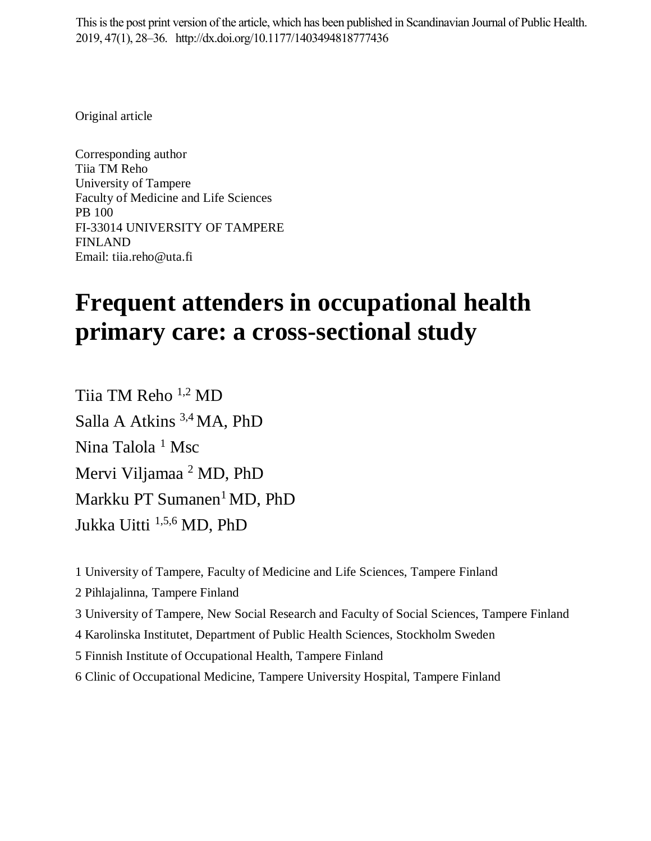This is the post print version of the article, which has been published in Scandinavian Journal of Public Health. 2019, 47(1), 28–36. http://dx.doi.org/10.1177/1403494818777436

Original article

Corresponding author Tiia TM Reho University of Tampere Faculty of Medicine and Life Sciences PB 100 FI-33014 UNIVERSITY OF TAMPERE FINLAND Email: tiia.reho@uta.fi

# **Frequent attenders in occupational health primary care: a cross-sectional study**

Tiia TM Reho 1,2 MD Salla A Atkins 3,4 MA, PhD Nina Talola<sup>1</sup> Msc Mervi Viljamaa<sup>2</sup> MD, PhD Markku PT Sumanen<sup>1</sup> MD, PhD Jukka Uitti 1,5,6 MD, PhD

1 University of Tampere, Faculty of Medicine and Life Sciences, Tampere Finland

2 Pihlajalinna, Tampere Finland

3 University of Tampere, New Social Research and Faculty of Social Sciences, Tampere Finland

4 Karolinska Institutet, Department of Public Health Sciences, Stockholm Sweden

5 Finnish Institute of Occupational Health, Tampere Finland

6 Clinic of Occupational Medicine, Tampere University Hospital, Tampere Finland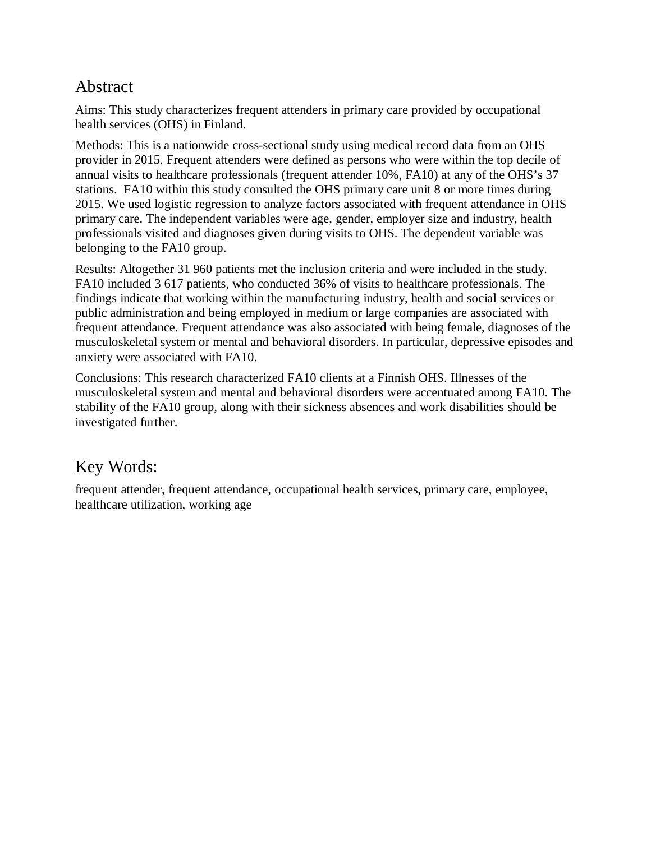#### Abstract

Aims: This study characterizes frequent attenders in primary care provided by occupational health services (OHS) in Finland.

Methods: This is a nationwide cross-sectional study using medical record data from an OHS provider in 2015. Frequent attenders were defined as persons who were within the top decile of annual visits to healthcare professionals (frequent attender 10%, FA10) at any of the OHS's 37 stations. FA10 within this study consulted the OHS primary care unit 8 or more times during 2015. We used logistic regression to analyze factors associated with frequent attendance in OHS primary care. The independent variables were age, gender, employer size and industry, health professionals visited and diagnoses given during visits to OHS. The dependent variable was belonging to the FA10 group.

Results: Altogether 31 960 patients met the inclusion criteria and were included in the study. FA10 included 3 617 patients, who conducted 36% of visits to healthcare professionals. The findings indicate that working within the manufacturing industry, health and social services or public administration and being employed in medium or large companies are associated with frequent attendance. Frequent attendance was also associated with being female, diagnoses of the musculoskeletal system or mental and behavioral disorders. In particular, depressive episodes and anxiety were associated with FA10.

Conclusions: This research characterized FA10 clients at a Finnish OHS. Illnesses of the musculoskeletal system and mental and behavioral disorders were accentuated among FA10. The stability of the FA10 group, along with their sickness absences and work disabilities should be investigated further.

#### Key Words:

frequent attender, frequent attendance, occupational health services, primary care, employee, healthcare utilization, working age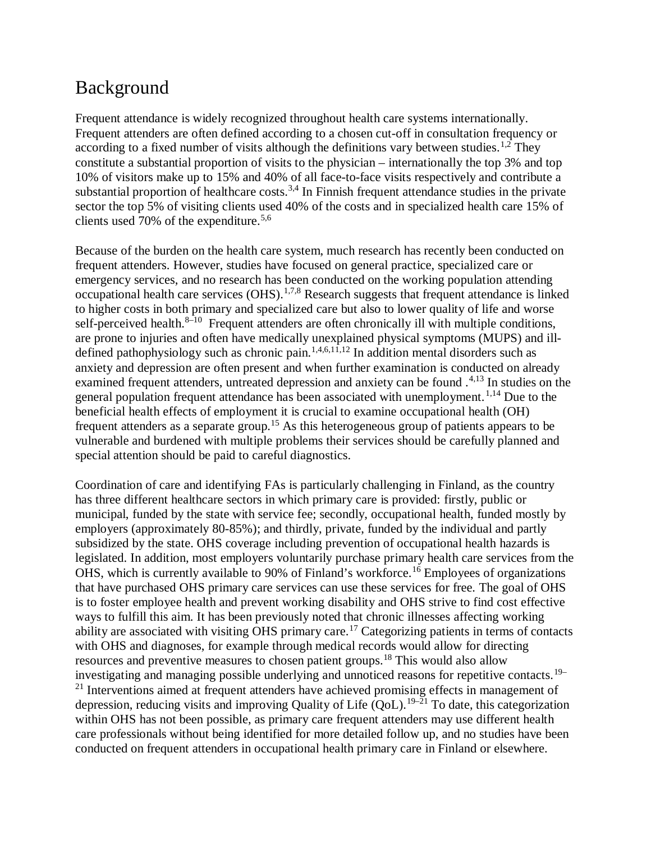### Background

Frequent attendance is widely recognized throughout health care systems internationally. Frequent attenders are often defined according to a chosen cut-off in consultation frequency or according to a fixed number of visits although the definitions vary between studies.<sup>1,2</sup> They constitute a substantial proportion of visits to the physician – internationally the top 3% and top 10% of visitors make up to 15% and 40% of all face-to-face visits respectively and contribute a substantial proportion of healthcare costs.<sup>3,4</sup> In Finnish frequent attendance studies in the private sector the top 5% of visiting clients used 40% of the costs and in specialized health care 15% of clients used 70% of the expenditure.<sup>5,6</sup>

Because of the burden on the health care system, much research has recently been conducted on frequent attenders. However, studies have focused on general practice, specialized care or emergency services, and no research has been conducted on the working population attending occupational health care services (OHS).<sup>1,7,8</sup> Research suggests that frequent attendance is linked to higher costs in both primary and specialized care but also to lower quality of life and worse self-perceived health. $8-10$  Frequent attenders are often chronically ill with multiple conditions, are prone to injuries and often have medically unexplained physical symptoms (MUPS) and illdefined pathophysiology such as chronic pain.<sup>1,4,6,11,12</sup> In addition mental disorders such as anxiety and depression are often present and when further examination is conducted on already examined frequent attenders, untreated depression and anxiety can be found .<sup>4,13</sup> In studies on the general population frequent attendance has been associated with unemployment.  $1,14$  Due to the beneficial health effects of employment it is crucial to examine occupational health (OH) frequent attenders as a separate group.<sup>15</sup> As this heterogeneous group of patients appears to be vulnerable and burdened with multiple problems their services should be carefully planned and special attention should be paid to careful diagnostics.

Coordination of care and identifying FAs is particularly challenging in Finland, as the country has three different healthcare sectors in which primary care is provided: firstly, public or municipal, funded by the state with service fee; secondly, occupational health, funded mostly by employers (approximately 80-85%); and thirdly, private, funded by the individual and partly subsidized by the state. OHS coverage including prevention of occupational health hazards is legislated. In addition, most employers voluntarily purchase primary health care services from the OHS, which is currently available to 90% of Finland's workforce.<sup>16</sup> Employees of organizations that have purchased OHS primary care services can use these services for free. The goal of OHS is to foster employee health and prevent working disability and OHS strive to find cost effective ways to fulfill this aim. It has been previously noted that chronic illnesses affecting working ability are associated with visiting OHS primary care.<sup>17</sup> Categorizing patients in terms of contacts with OHS and diagnoses, for example through medical records would allow for directing resources and preventive measures to chosen patient groups.<sup>18</sup> This would also allow investigating and managing possible underlying and unnoticed reasons for repetitive contacts.19– <sup>21</sup> Interventions aimed at frequent attenders have achieved promising effects in management of depression, reducing visits and improving Quality of Life  $\text{(QoL)}$ .<sup>19–21</sup> To date, this categorization within OHS has not been possible, as primary care frequent attenders may use different health care professionals without being identified for more detailed follow up, and no studies have been conducted on frequent attenders in occupational health primary care in Finland or elsewhere.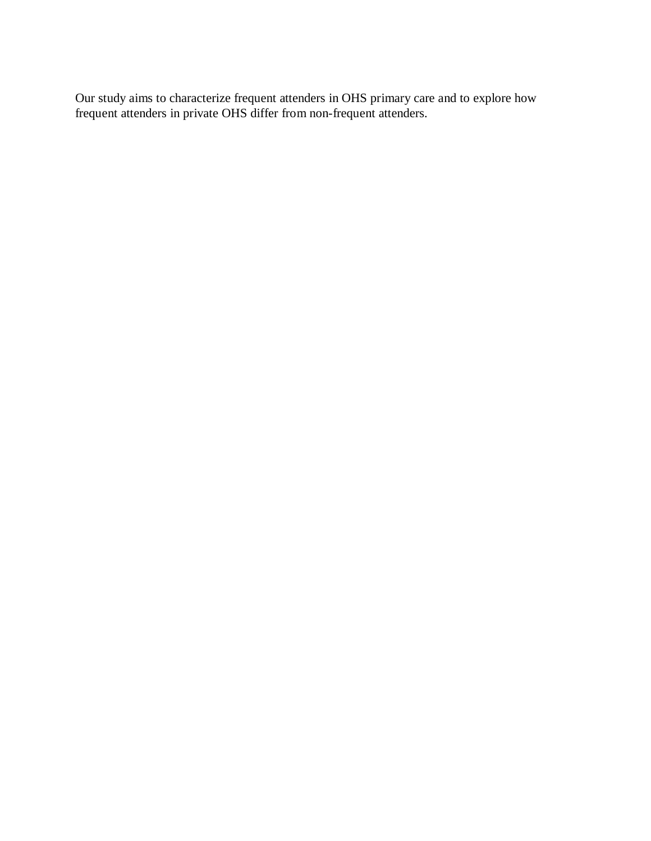Our study aims to characterize frequent attenders in OHS primary care and to explore how frequent attenders in private OHS differ from non-frequent attenders.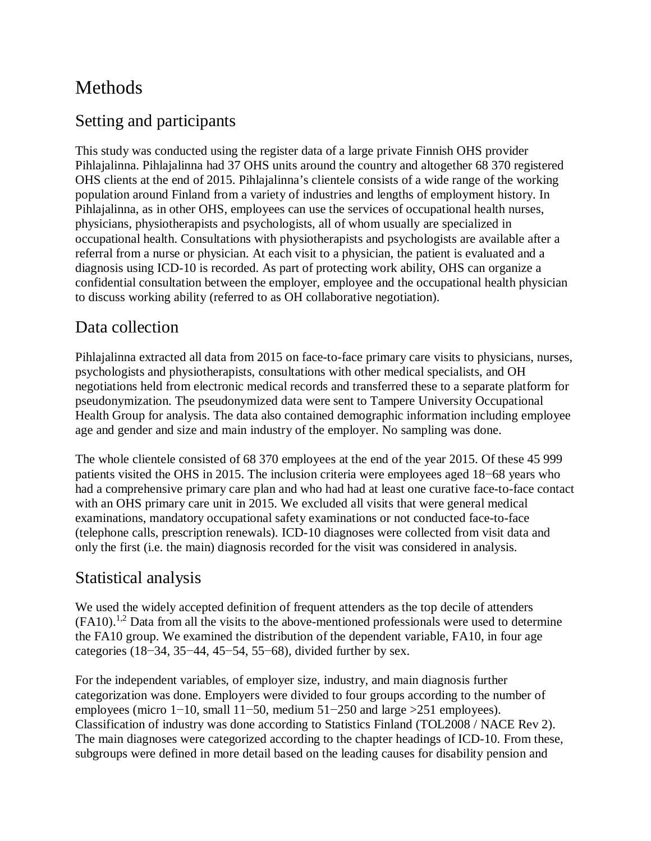# Methods

#### Setting and participants

This study was conducted using the register data of a large private Finnish OHS provider Pihlajalinna. Pihlajalinna had 37 OHS units around the country and altogether 68 370 registered OHS clients at the end of 2015. Pihlajalinna's clientele consists of a wide range of the working population around Finland from a variety of industries and lengths of employment history. In Pihlajalinna, as in other OHS, employees can use the services of occupational health nurses, physicians, physiotherapists and psychologists, all of whom usually are specialized in occupational health. Consultations with physiotherapists and psychologists are available after a referral from a nurse or physician. At each visit to a physician, the patient is evaluated and a diagnosis using ICD-10 is recorded. As part of protecting work ability, OHS can organize a confidential consultation between the employer, employee and the occupational health physician to discuss working ability (referred to as OH collaborative negotiation).

#### Data collection

Pihlajalinna extracted all data from 2015 on face-to-face primary care visits to physicians, nurses, psychologists and physiotherapists, consultations with other medical specialists, and OH negotiations held from electronic medical records and transferred these to a separate platform for pseudonymization. The pseudonymized data were sent to Tampere University Occupational Health Group for analysis. The data also contained demographic information including employee age and gender and size and main industry of the employer. No sampling was done.

The whole clientele consisted of 68 370 employees at the end of the year 2015. Of these 45 999 patients visited the OHS in 2015. The inclusion criteria were employees aged 18−68 years who had a comprehensive primary care plan and who had had at least one curative face-to-face contact with an OHS primary care unit in 2015. We excluded all visits that were general medical examinations, mandatory occupational safety examinations or not conducted face-to-face (telephone calls, prescription renewals). ICD-10 diagnoses were collected from visit data and only the first (i.e. the main) diagnosis recorded for the visit was considered in analysis.

#### Statistical analysis

We used the widely accepted definition of frequent attenders as the top decile of attenders  $(FA10).<sup>1,2</sup>$  Data from all the visits to the above-mentioned professionals were used to determine the FA10 group. We examined the distribution of the dependent variable, FA10, in four age categories (18−34, 35−44, 45−54, 55−68), divided further by sex.

For the independent variables, of employer size, industry, and main diagnosis further categorization was done. Employers were divided to four groups according to the number of employees (micro 1–10, small 11–50, medium 51–250 and large >251 employees). Classification of industry was done according to Statistics Finland (TOL2008 / NACE Rev 2). The main diagnoses were categorized according to the chapter headings of ICD-10. From these, subgroups were defined in more detail based on the leading causes for disability pension and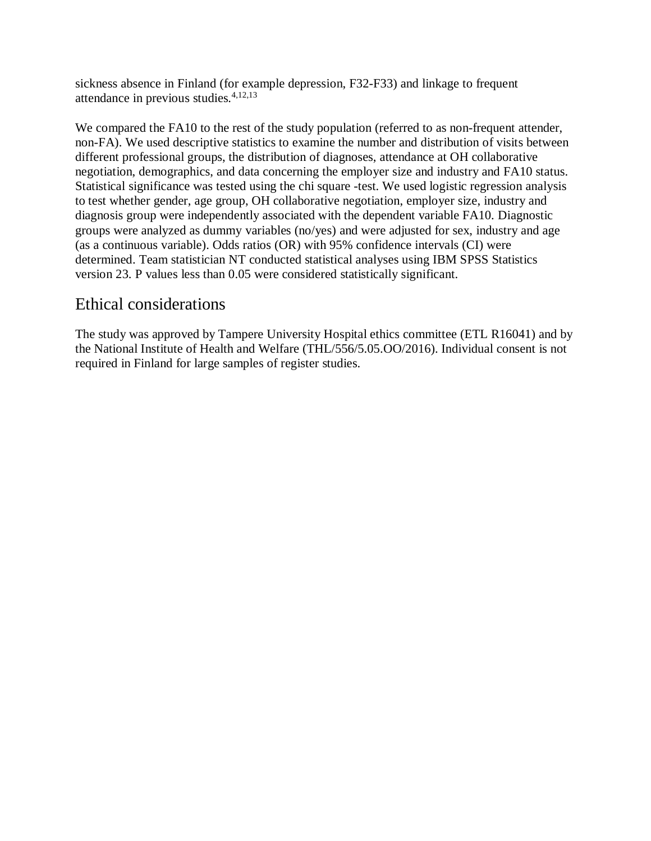sickness absence in Finland (for example depression, F32-F33) and linkage to frequent attendance in previous studies. $4,12,13$ 

We compared the FA10 to the rest of the study population (referred to as non-frequent attender, non-FA). We used descriptive statistics to examine the number and distribution of visits between different professional groups, the distribution of diagnoses, attendance at OH collaborative negotiation, demographics, and data concerning the employer size and industry and FA10 status. Statistical significance was tested using the chi square -test. We used logistic regression analysis to test whether gender, age group, OH collaborative negotiation, employer size, industry and diagnosis group were independently associated with the dependent variable FA10. Diagnostic groups were analyzed as dummy variables (no/yes) and were adjusted for sex, industry and age (as a continuous variable). Odds ratios (OR) with 95% confidence intervals (CI) were determined. Team statistician NT conducted statistical analyses using IBM SPSS Statistics version 23. P values less than 0.05 were considered statistically significant.

#### Ethical considerations

The study was approved by Tampere University Hospital ethics committee (ETL R16041) and by the National Institute of Health and Welfare (THL/556/5.05.OO/2016). Individual consent is not required in Finland for large samples of register studies.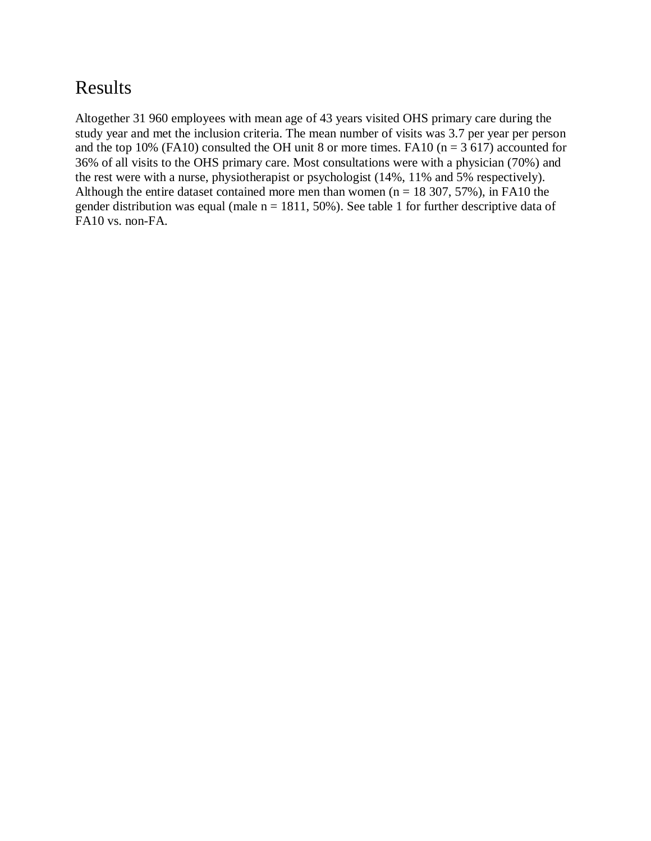### Results

Altogether 31 960 employees with mean age of 43 years visited OHS primary care during the study year and met the inclusion criteria. The mean number of visits was 3.7 per year per person and the top 10% (FA10) consulted the OH unit 8 or more times. FA10 ( $n = 3617$ ) accounted for 36% of all visits to the OHS primary care. Most consultations were with a physician (70%) and the rest were with a nurse, physiotherapist or psychologist (14%, 11% and 5% respectively). Although the entire dataset contained more men than women ( $n = 18, 307, 57\%$ ), in FA10 the gender distribution was equal (male  $n = 1811$ , 50%). See table 1 for further descriptive data of FA10 vs. non-FA.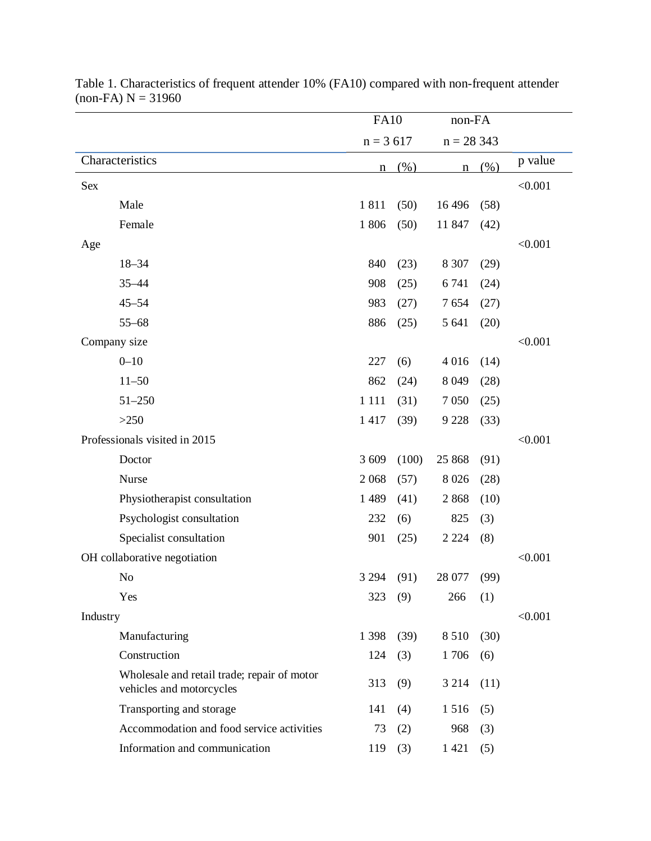|                                                                         | <b>FA10</b> |       | non-FA      |      |         |
|-------------------------------------------------------------------------|-------------|-------|-------------|------|---------|
|                                                                         | $n = 3617$  |       | $n = 28343$ |      |         |
| Characteristics                                                         | n           | (% )  | $\mathbf n$ | (% ) | p value |
| Sex                                                                     |             |       |             |      | < 0.001 |
| Male                                                                    | 1811        | (50)  | 16 4 96     | (58) |         |
| Female                                                                  | 1806        | (50)  | 11 847      | (42) |         |
| Age                                                                     |             |       |             |      | < 0.001 |
| $18 - 34$                                                               | 840         | (23)  | 8 3 0 7     | (29) |         |
| $35 - 44$                                                               | 908         | (25)  | 6741        | (24) |         |
| $45 - 54$                                                               | 983         | (27)  | 7654        | (27) |         |
| $55 - 68$                                                               | 886         | (25)  | 5 641       | (20) |         |
| Company size                                                            |             |       |             |      | < 0.001 |
| $0 - 10$                                                                | 227         | (6)   | 4 0 1 6     | (14) |         |
| $11 - 50$                                                               | 862         | (24)  | 8 0 4 9     | (28) |         |
| $51 - 250$                                                              | 1 1 1 1     | (31)  | 7 0 5 0     | (25) |         |
| >250                                                                    | 1417        | (39)  | 9 2 2 8     | (33) |         |
| Professionals visited in 2015                                           |             |       |             |      | < 0.001 |
| Doctor                                                                  | 3 609       | (100) | 25 868      | (91) |         |
| Nurse                                                                   | 2 0 6 8     | (57)  | 8 0 2 6     | (28) |         |
| Physiotherapist consultation                                            | 1 4 8 9     | (41)  | 2868        | (10) |         |
| Psychologist consultation                                               | 232         | (6)   | 825         | (3)  |         |
| Specialist consultation                                                 | 901         | (25)  | 2 2 2 4     | (8)  |         |
| OH collaborative negotiation                                            |             |       |             |      | < 0.001 |
| No                                                                      | 3 2 9 4     | (91)  | 28 077      | (99) |         |
| Yes                                                                     | 323         | (9)   | 266         | (1)  |         |
| Industry                                                                |             |       |             |      | < 0.001 |
| Manufacturing                                                           | 1 3 9 8     | (39)  | 8510        | (30) |         |
| Construction                                                            | 124         | (3)   | 1706        | (6)  |         |
| Wholesale and retail trade; repair of motor<br>vehicles and motorcycles | 313         | (9)   | 3 2 1 4     | (11) |         |
| Transporting and storage                                                | 141         | (4)   | 1516        | (5)  |         |
| Accommodation and food service activities                               | 73          | (2)   | 968         | (3)  |         |
| Information and communication                                           | 119         | (3)   | 1421        | (5)  |         |

Table 1. Characteristics of frequent attender 10% (FA10) compared with non-frequent attender  $(non-FA) N = 31960$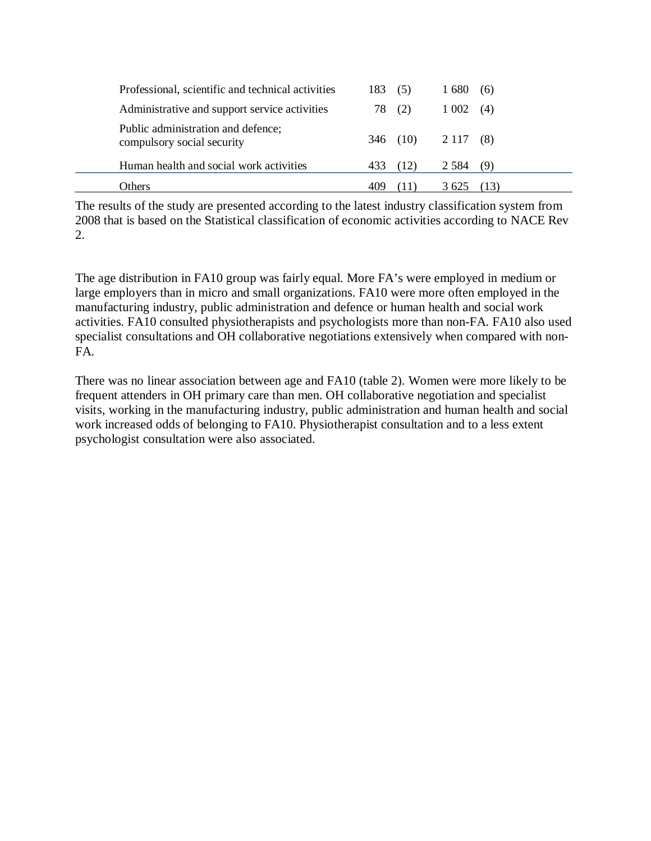| Professional, scientific and technical activities                | 183. | (5)  | 1680    | (6)  |
|------------------------------------------------------------------|------|------|---------|------|
| Administrative and support service activities                    | 78   | (2)  | 1 0 0 2 | (4)  |
| Public administration and defence;<br>compulsory social security | 346  | (10) | 2 1 1 7 | (8)  |
| Human health and social work activities                          |      | (12) | 2 5 8 4 | (9)  |
| <b>Others</b>                                                    |      |      | 3625    | (13) |

The results of the study are presented according to the latest industry classification system from 2008 that is based on the Statistical classification of economic activities according to NACE Rev 2.

The age distribution in FA10 group was fairly equal. More FA's were employed in medium or large employers than in micro and small organizations. FA10 were more often employed in the manufacturing industry, public administration and defence or human health and social work activities. FA10 consulted physiotherapists and psychologists more than non-FA. FA10 also used specialist consultations and OH collaborative negotiations extensively when compared with non-FA.

There was no linear association between age and FA10 (table 2). Women were more likely to be frequent attenders in OH primary care than men. OH collaborative negotiation and specialist visits, working in the manufacturing industry, public administration and human health and social work increased odds of belonging to FA10. Physiotherapist consultation and to a less extent psychologist consultation were also associated.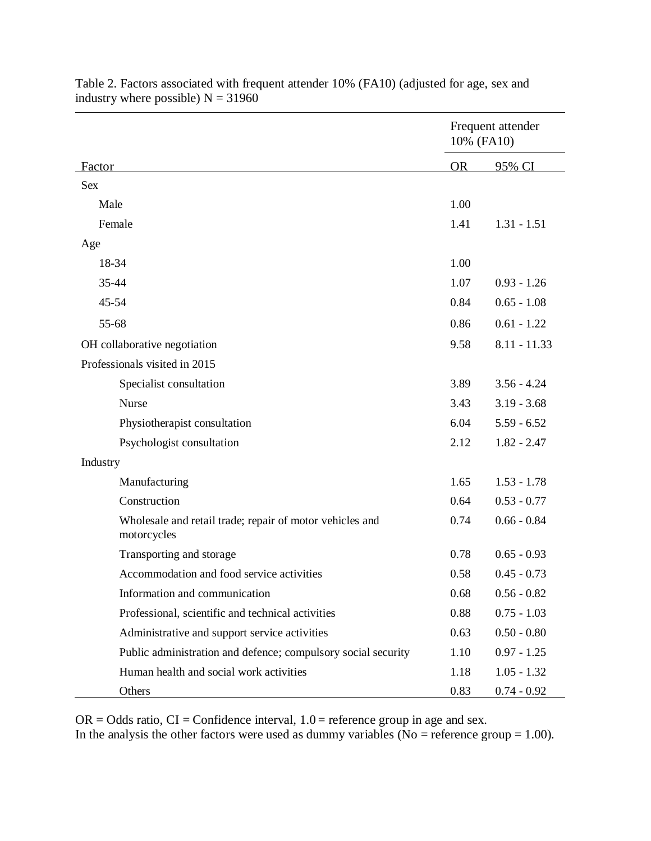|           |                                                                         | Frequent attender<br>10% (FA10) |                |
|-----------|-------------------------------------------------------------------------|---------------------------------|----------------|
| Factor    |                                                                         | <b>OR</b>                       | 95% CI         |
| Sex       |                                                                         |                                 |                |
| Male      |                                                                         | 1.00                            |                |
|           | Female                                                                  | 1.41                            | $1.31 - 1.51$  |
| Age       |                                                                         |                                 |                |
|           | 18-34                                                                   | 1.00                            |                |
| 35-44     |                                                                         | 1.07                            | $0.93 - 1.26$  |
| $45 - 54$ |                                                                         | 0.84                            | $0.65 - 1.08$  |
| 55-68     |                                                                         | 0.86                            | $0.61 - 1.22$  |
|           | OH collaborative negotiation                                            | 9.58                            | $8.11 - 11.33$ |
|           | Professionals visited in 2015                                           |                                 |                |
|           | Specialist consultation                                                 | 3.89                            | $3.56 - 4.24$  |
|           | Nurse                                                                   | 3.43                            | $3.19 - 3.68$  |
|           | Physiotherapist consultation                                            | 6.04                            | $5.59 - 6.52$  |
|           | Psychologist consultation                                               | 2.12                            | $1.82 - 2.47$  |
| Industry  |                                                                         |                                 |                |
|           | Manufacturing                                                           | 1.65                            | $1.53 - 1.78$  |
|           | Construction                                                            | 0.64                            | $0.53 - 0.77$  |
|           | Wholesale and retail trade; repair of motor vehicles and<br>motorcycles | 0.74                            | $0.66 - 0.84$  |
|           | Transporting and storage                                                | 0.78                            | $0.65 - 0.93$  |
|           | Accommodation and food service activities                               | 0.58                            | $0.45 - 0.73$  |
|           | Information and communication                                           | 0.68                            | $0.56 - 0.82$  |
|           | Professional, scientific and technical activities                       | 0.88                            | $0.75 - 1.03$  |
|           | Administrative and support service activities                           | 0.63                            | $0.50 - 0.80$  |
|           | Public administration and defence; compulsory social security           | 1.10                            | $0.97 - 1.25$  |
|           | Human health and social work activities                                 | 1.18                            | $1.05 - 1.32$  |
|           | Others                                                                  | 0.83                            | $0.74 - 0.92$  |

Table 2. Factors associated with frequent attender 10% (FA10) (adjusted for age, sex and industry where possible)  $N = 31960$ 

 $OR = Odds$  ratio,  $CI = Confidence$  interval,  $1.0 = reference$  group in age and sex.

In the analysis the other factors were used as dummy variables ( $\overline{N}$ o = reference group = 1.00).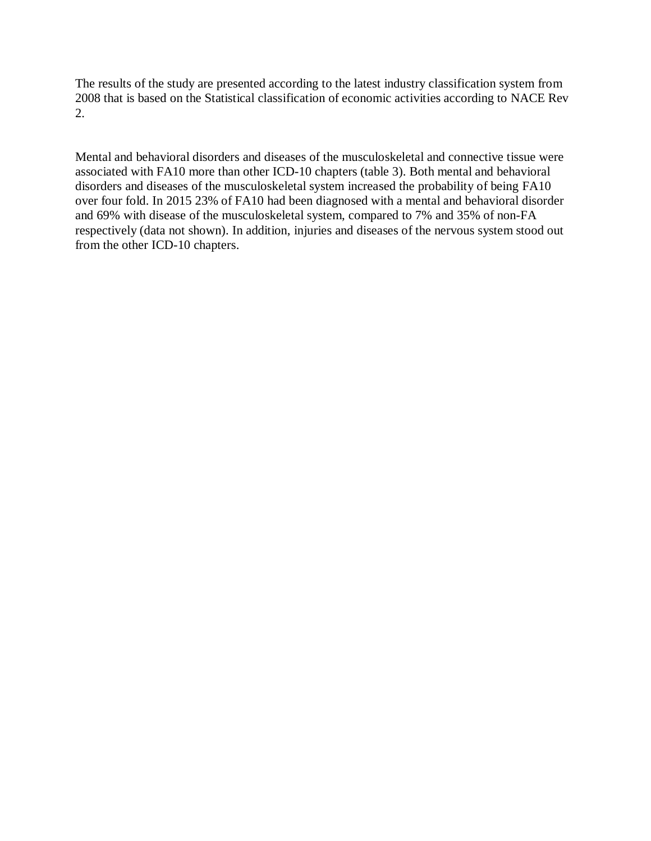The results of the study are presented according to the latest industry classification system from 2008 that is based on the Statistical classification of economic activities according to NACE Rev 2.

Mental and behavioral disorders and diseases of the musculoskeletal and connective tissue were associated with FA10 more than other ICD-10 chapters (table 3). Both mental and behavioral disorders and diseases of the musculoskeletal system increased the probability of being FA10 over four fold. In 2015 23% of FA10 had been diagnosed with a mental and behavioral disorder and 69% with disease of the musculoskeletal system, compared to 7% and 35% of non-FA respectively (data not shown). In addition, injuries and diseases of the nervous system stood out from the other ICD-10 chapters.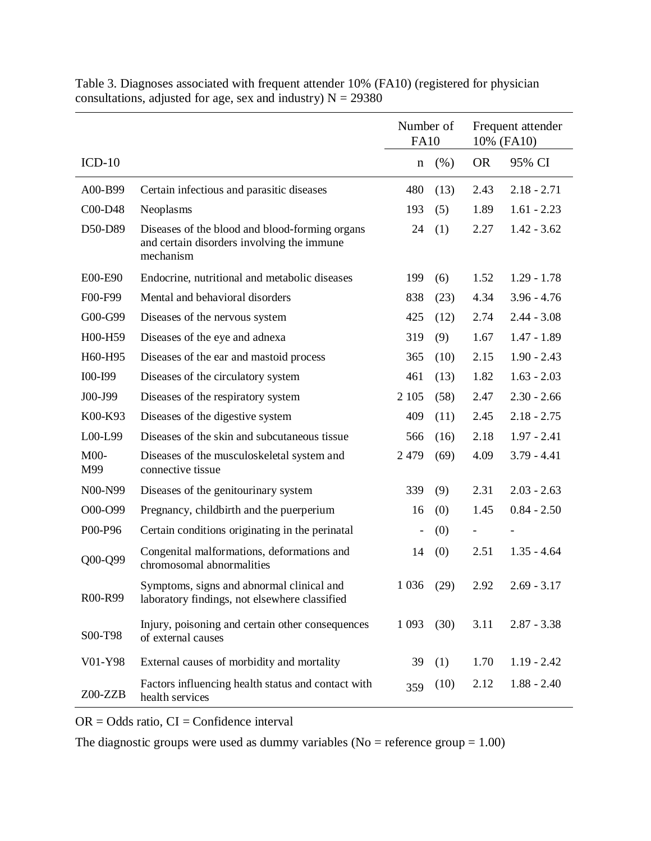|               |                                                                                                           | Number of<br><b>FA10</b> |      | Frequent attender<br>10% (FA10) |               |
|---------------|-----------------------------------------------------------------------------------------------------------|--------------------------|------|---------------------------------|---------------|
| $ICD-10$      |                                                                                                           | $\mathbf n$              | (% ) | <b>OR</b>                       | 95% CI        |
| A00-B99       | Certain infectious and parasitic diseases                                                                 | 480                      | (13) | 2.43                            | $2.18 - 2.71$ |
| C00-D48       | Neoplasms                                                                                                 | 193                      | (5)  | 1.89                            | $1.61 - 2.23$ |
| D50-D89       | Diseases of the blood and blood-forming organs<br>and certain disorders involving the immune<br>mechanism | 24                       | (1)  | 2.27                            | $1.42 - 3.62$ |
| E00-E90       | Endocrine, nutritional and metabolic diseases                                                             | 199                      | (6)  | 1.52                            | $1.29 - 1.78$ |
| F00-F99       | Mental and behavioral disorders                                                                           | 838                      | (23) | 4.34                            | $3.96 - 4.76$ |
| G00-G99       | Diseases of the nervous system                                                                            | 425                      | (12) | 2.74                            | $2.44 - 3.08$ |
| H00-H59       | Diseases of the eye and adnexa                                                                            | 319                      | (9)  | 1.67                            | $1.47 - 1.89$ |
| H60-H95       | Diseases of the ear and mastoid process                                                                   | 365                      | (10) | 2.15                            | $1.90 - 2.43$ |
| I00-I99       | Diseases of the circulatory system                                                                        | 461                      | (13) | 1.82                            | $1.63 - 2.03$ |
| J00-J99       | Diseases of the respiratory system                                                                        | 2 1 0 5                  | (58) | 2.47                            | $2.30 - 2.66$ |
| K00-K93       | Diseases of the digestive system                                                                          | 409                      | (11) | 2.45                            | $2.18 - 2.75$ |
| L00-L99       | Diseases of the skin and subcutaneous tissue                                                              | 566                      | (16) | 2.18                            | $1.97 - 2.41$ |
| $M00-$<br>M99 | Diseases of the musculoskeletal system and<br>connective tissue                                           | 2 4 7 9                  | (69) | 4.09                            | $3.79 - 4.41$ |
| N00-N99       | Diseases of the genitourinary system                                                                      | 339                      | (9)  | 2.31                            | $2.03 - 2.63$ |
| O00-O99       | Pregnancy, childbirth and the puerperium                                                                  | 16                       | (0)  | 1.45                            | $0.84 - 2.50$ |
| P00-P96       | Certain conditions originating in the perinatal                                                           |                          | (0)  |                                 |               |
| Q00-Q99       | Congenital malformations, deformations and<br>chromosomal abnormalities                                   | 14                       | (0)  | 2.51                            | $1.35 - 4.64$ |
| R00-R99       | Symptoms, signs and abnormal clinical and<br>laboratory findings, not elsewhere classified                | 1 0 3 6                  | (29) | 2.92                            | $2.69 - 3.17$ |
| S00-T98       | Injury, poisoning and certain other consequences<br>of external causes                                    | 1 0 9 3                  | (30) | 3.11                            | $2.87 - 3.38$ |
| V01-Y98       | External causes of morbidity and mortality                                                                | 39                       | (1)  | 1.70                            | $1.19 - 2.42$ |
| Z00-ZZB       | Factors influencing health status and contact with<br>health services                                     | 359                      | (10) | 2.12                            | $1.88 - 2.40$ |

Table 3. Diagnoses associated with frequent attender 10% (FA10) (registered for physician consultations, adjusted for age, sex and industry)  $N = 29380$ 

 $OR = Odds$  ratio,  $CI = Confidence$  interval

The diagnostic groups were used as dummy variables ( $No =$  reference group = 1.00)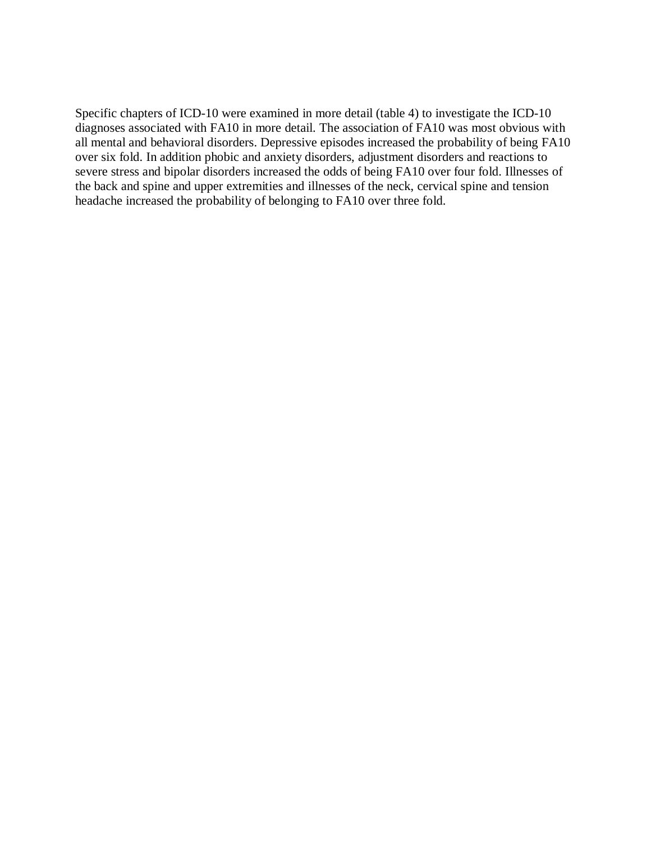Specific chapters of ICD-10 were examined in more detail (table 4) to investigate the ICD-10 diagnoses associated with FA10 in more detail. The association of FA10 was most obvious with all mental and behavioral disorders. Depressive episodes increased the probability of being FA10 over six fold. In addition phobic and anxiety disorders, adjustment disorders and reactions to severe stress and bipolar disorders increased the odds of being FA10 over four fold. Illnesses of the back and spine and upper extremities and illnesses of the neck, cervical spine and tension headache increased the probability of belonging to FA10 over three fold.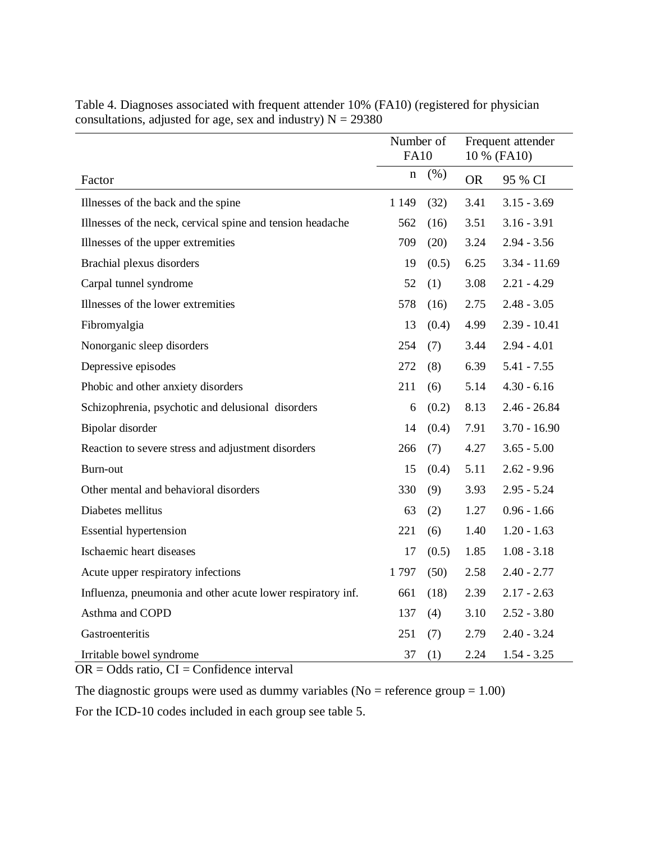|                                                             | Number of<br><b>FA10</b> |       | Frequent attender<br>10 % (FA10) |                |
|-------------------------------------------------------------|--------------------------|-------|----------------------------------|----------------|
| Factor                                                      | n                        | (% )  | <b>OR</b>                        | 95 % CI        |
| Illnesses of the back and the spine                         | 1 1 4 9                  | (32)  | 3.41                             | $3.15 - 3.69$  |
| Illnesses of the neck, cervical spine and tension headache  | 562                      | (16)  | 3.51                             | $3.16 - 3.91$  |
| Illnesses of the upper extremities                          | 709                      | (20)  | 3.24                             | $2.94 - 3.56$  |
| Brachial plexus disorders                                   | 19                       | (0.5) | 6.25                             | $3.34 - 11.69$ |
| Carpal tunnel syndrome                                      | 52                       | (1)   | 3.08                             | $2.21 - 4.29$  |
| Illnesses of the lower extremities                          | 578                      | (16)  | 2.75                             | $2.48 - 3.05$  |
| Fibromyalgia                                                | 13                       | (0.4) | 4.99                             | $2.39 - 10.41$ |
| Nonorganic sleep disorders                                  | 254                      | (7)   | 3.44                             | $2.94 - 4.01$  |
| Depressive episodes                                         | 272                      | (8)   | 6.39                             | $5.41 - 7.55$  |
| Phobic and other anxiety disorders                          | 211                      | (6)   | 5.14                             | $4.30 - 6.16$  |
| Schizophrenia, psychotic and delusional disorders           | 6                        | (0.2) | 8.13                             | $2.46 - 26.84$ |
| Bipolar disorder                                            | 14                       | (0.4) | 7.91                             | $3.70 - 16.90$ |
| Reaction to severe stress and adjustment disorders          | 266                      | (7)   | 4.27                             | $3.65 - 5.00$  |
| Burn-out                                                    | 15                       | (0.4) | 5.11                             | $2.62 - 9.96$  |
| Other mental and behavioral disorders                       | 330                      | (9)   | 3.93                             | $2.95 - 5.24$  |
| Diabetes mellitus                                           | 63                       | (2)   | 1.27                             | $0.96 - 1.66$  |
| <b>Essential hypertension</b>                               | 221                      | (6)   | 1.40                             | $1.20 - 1.63$  |
| Ischaemic heart diseases                                    | 17                       | (0.5) | 1.85                             | $1.08 - 3.18$  |
| Acute upper respiratory infections                          | 1797                     | (50)  | 2.58                             | $2.40 - 2.77$  |
| Influenza, pneumonia and other acute lower respiratory inf. | 661                      | (18)  | 2.39                             | $2.17 - 2.63$  |
| Asthma and COPD                                             | 137                      | (4)   | 3.10                             | $2.52 - 3.80$  |
| Gastroenteritis                                             | 251                      | (7)   | 2.79                             | $2.40 - 3.24$  |
| Irritable bowel syndrome                                    | 37                       | (1)   | 2.24                             | $1.54 - 3.25$  |

Table 4. Diagnoses associated with frequent attender 10% (FA10) (registered for physician consultations, adjusted for age, sex and industry)  $N = 29380$ 

 $OR = Odds$  ratio,  $CI = Confidence$  interval

The diagnostic groups were used as dummy variables ( $No =$  reference group = 1.00)

For the ICD-10 codes included in each group see table 5.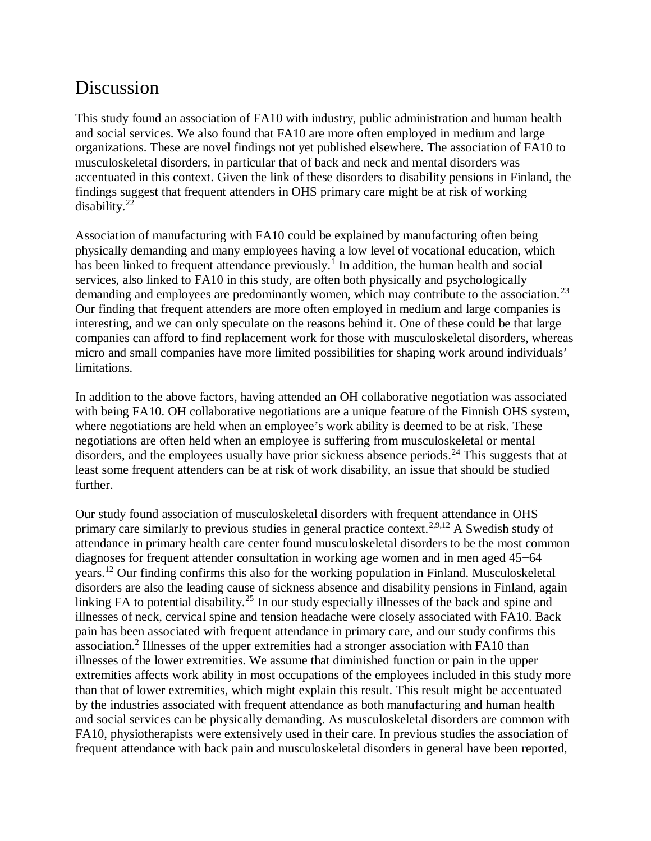# Discussion

This study found an association of FA10 with industry, public administration and human health and social services. We also found that FA10 are more often employed in medium and large organizations. These are novel findings not yet published elsewhere. The association of FA10 to musculoskeletal disorders, in particular that of back and neck and mental disorders was accentuated in this context. Given the link of these disorders to disability pensions in Finland, the findings suggest that frequent attenders in OHS primary care might be at risk of working disability. $22$ 

Association of manufacturing with FA10 could be explained by manufacturing often being physically demanding and many employees having a low level of vocational education, which has been linked to frequent attendance previously.<sup>1</sup> In addition, the human health and social services, also linked to FA10 in this study, are often both physically and psychologically demanding and employees are predominantly women, which may contribute to the association.<sup>23</sup> Our finding that frequent attenders are more often employed in medium and large companies is interesting, and we can only speculate on the reasons behind it. One of these could be that large companies can afford to find replacement work for those with musculoskeletal disorders, whereas micro and small companies have more limited possibilities for shaping work around individuals' limitations.

In addition to the above factors, having attended an OH collaborative negotiation was associated with being FA10. OH collaborative negotiations are a unique feature of the Finnish OHS system, where negotiations are held when an employee's work ability is deemed to be at risk. These negotiations are often held when an employee is suffering from musculoskeletal or mental disorders, and the employees usually have prior sickness absence periods.<sup>24</sup> This suggests that at least some frequent attenders can be at risk of work disability, an issue that should be studied further.

Our study found association of musculoskeletal disorders with frequent attendance in OHS primary care similarly to previous studies in general practice context.<sup>2,9,12</sup> A Swedish study of attendance in primary health care center found musculoskeletal disorders to be the most common diagnoses for frequent attender consultation in working age women and in men aged 45−64 years.<sup>12</sup> Our finding confirms this also for the working population in Finland. Musculoskeletal disorders are also the leading cause of sickness absence and disability pensions in Finland, again linking FA to potential disability.<sup>25</sup> In our study especially illnesses of the back and spine and illnesses of neck, cervical spine and tension headache were closely associated with FA10. Back pain has been associated with frequent attendance in primary care, and our study confirms this association.<sup>2</sup> Illnesses of the upper extremities had a stronger association with FA10 than illnesses of the lower extremities. We assume that diminished function or pain in the upper extremities affects work ability in most occupations of the employees included in this study more than that of lower extremities, which might explain this result. This result might be accentuated by the industries associated with frequent attendance as both manufacturing and human health and social services can be physically demanding. As musculoskeletal disorders are common with FA10, physiotherapists were extensively used in their care. In previous studies the association of frequent attendance with back pain and musculoskeletal disorders in general have been reported,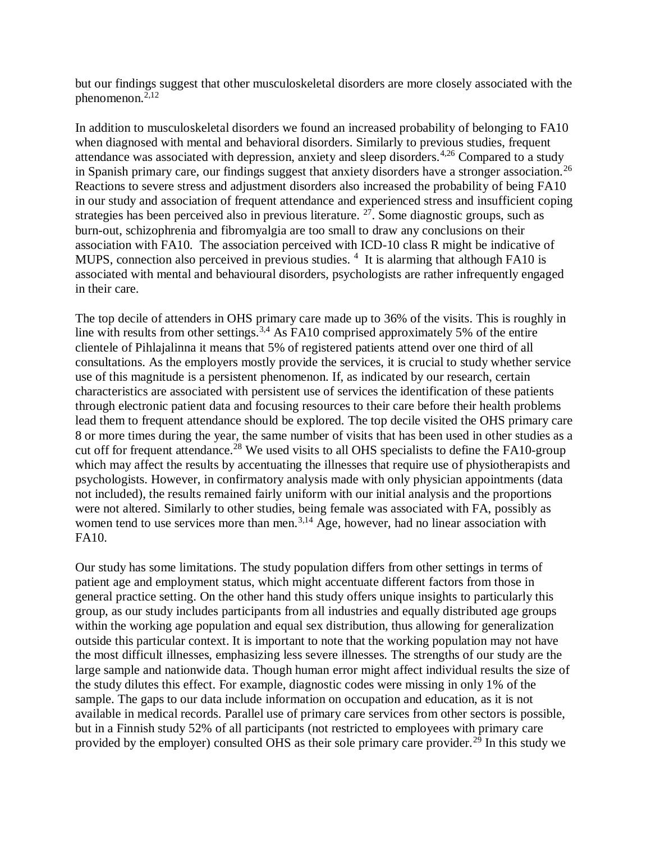but our findings suggest that other musculoskeletal disorders are more closely associated with the phenomenon.2,12

In addition to musculoskeletal disorders we found an increased probability of belonging to FA10 when diagnosed with mental and behavioral disorders. Similarly to previous studies, frequent attendance was associated with depression, anxiety and sleep disorders.<sup>4,26</sup> Compared to a study in Spanish primary care, our findings suggest that anxiety disorders have a stronger association.<sup>26</sup> Reactions to severe stress and adjustment disorders also increased the probability of being FA10 in our study and association of frequent attendance and experienced stress and insufficient coping strategies has been perceived also in previous literature.  $27$ . Some diagnostic groups, such as burn-out, schizophrenia and fibromyalgia are too small to draw any conclusions on their association with FA10. The association perceived with ICD-10 class R might be indicative of MUPS, connection also perceived in previous studies. <sup>4</sup> It is alarming that although FA10 is associated with mental and behavioural disorders, psychologists are rather infrequently engaged in their care.

The top decile of attenders in OHS primary care made up to 36% of the visits. This is roughly in line with results from other settings.<sup>3,4</sup> As FA10 comprised approximately 5% of the entire clientele of Pihlajalinna it means that 5% of registered patients attend over one third of all consultations. As the employers mostly provide the services, it is crucial to study whether service use of this magnitude is a persistent phenomenon. If, as indicated by our research, certain characteristics are associated with persistent use of services the identification of these patients through electronic patient data and focusing resources to their care before their health problems lead them to frequent attendance should be explored. The top decile visited the OHS primary care 8 or more times during the year, the same number of visits that has been used in other studies as a cut off for frequent attendance.<sup>28</sup> We used visits to all OHS specialists to define the FA10-group which may affect the results by accentuating the illnesses that require use of physiotherapists and psychologists. However, in confirmatory analysis made with only physician appointments (data not included), the results remained fairly uniform with our initial analysis and the proportions were not altered. Similarly to other studies, being female was associated with FA, possibly as women tend to use services more than men.<sup>3,14</sup> Age, however, had no linear association with FA10.

Our study has some limitations. The study population differs from other settings in terms of patient age and employment status, which might accentuate different factors from those in general practice setting. On the other hand this study offers unique insights to particularly this group, as our study includes participants from all industries and equally distributed age groups within the working age population and equal sex distribution, thus allowing for generalization outside this particular context. It is important to note that the working population may not have the most difficult illnesses, emphasizing less severe illnesses. The strengths of our study are the large sample and nationwide data. Though human error might affect individual results the size of the study dilutes this effect. For example, diagnostic codes were missing in only 1% of the sample. The gaps to our data include information on occupation and education, as it is not available in medical records. Parallel use of primary care services from other sectors is possible, but in a Finnish study 52% of all participants (not restricted to employees with primary care provided by the employer) consulted OHS as their sole primary care provider.<sup>29</sup> In this study we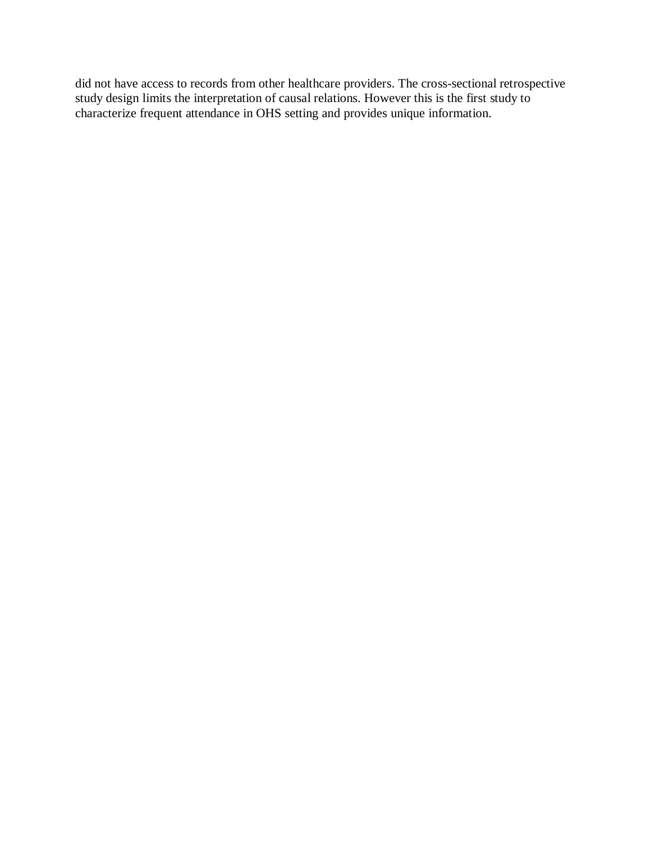did not have access to records from other healthcare providers. The cross-sectional retrospective study design limits the interpretation of causal relations. However this is the first study to characterize frequent attendance in OHS setting and provides unique information.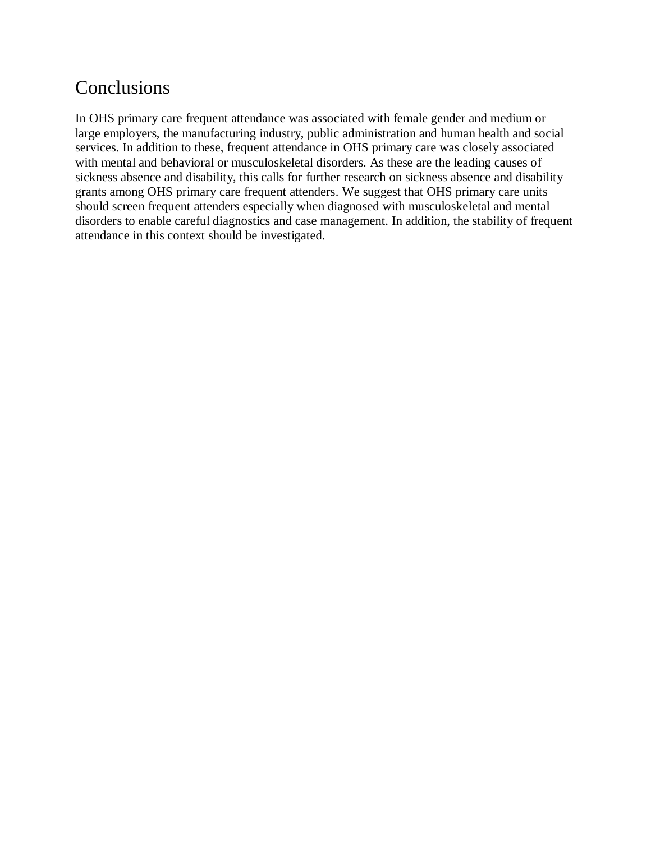# Conclusions

In OHS primary care frequent attendance was associated with female gender and medium or large employers, the manufacturing industry, public administration and human health and social services. In addition to these, frequent attendance in OHS primary care was closely associated with mental and behavioral or musculoskeletal disorders. As these are the leading causes of sickness absence and disability, this calls for further research on sickness absence and disability grants among OHS primary care frequent attenders. We suggest that OHS primary care units should screen frequent attenders especially when diagnosed with musculoskeletal and mental disorders to enable careful diagnostics and case management. In addition, the stability of frequent attendance in this context should be investigated.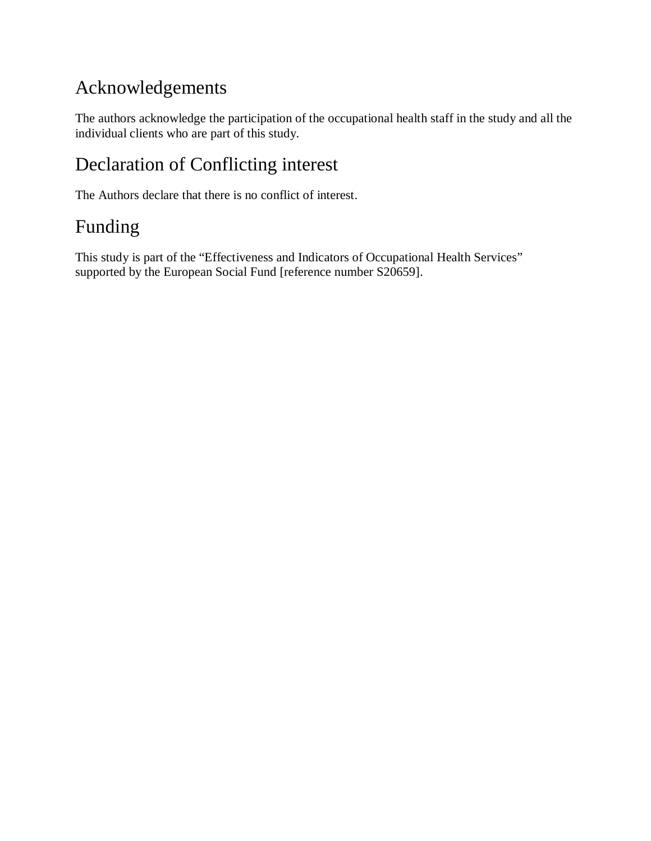# Acknowledgements

The authors acknowledge the participation of the occupational health staff in the study and all the individual clients who are part of this study.

# Declaration of Conflicting interest

The Authors declare that there is no conflict of interest.

# Funding

This study is part of the "Effectiveness and Indicators of Occupational Health Services" supported by the European Social Fund [reference number S20659].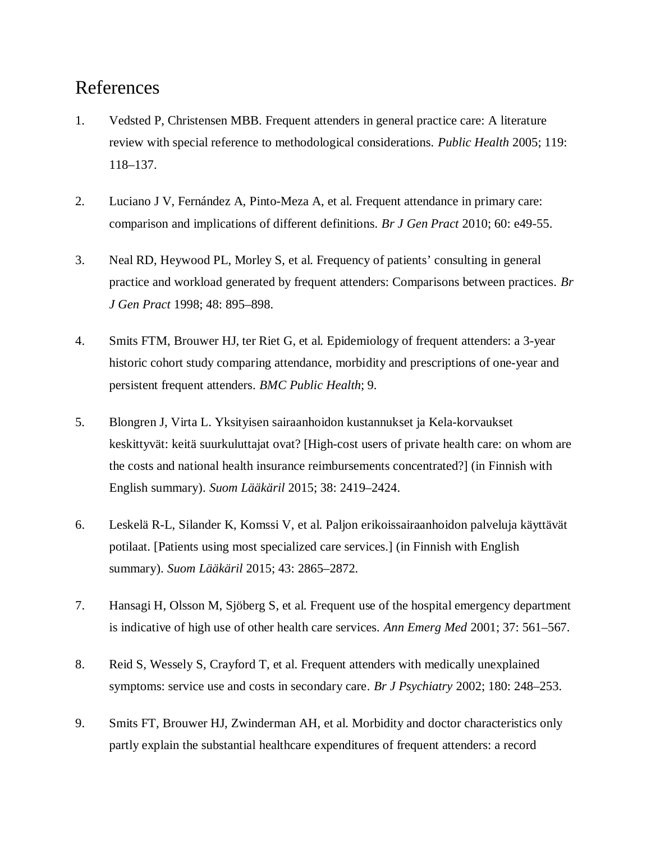#### References

- 1. Vedsted P, Christensen MBB. Frequent attenders in general practice care: A literature review with special reference to methodological considerations. *Public Health* 2005; 119: 118–137.
- 2. Luciano J V, Fernández A, Pinto-Meza A, et al. Frequent attendance in primary care: comparison and implications of different definitions. *Br J Gen Pract* 2010; 60: e49-55.
- 3. Neal RD, Heywood PL, Morley S, et al. Frequency of patients' consulting in general practice and workload generated by frequent attenders: Comparisons between practices. *Br J Gen Pract* 1998; 48: 895–898.
- 4. Smits FTM, Brouwer HJ, ter Riet G, et al. Epidemiology of frequent attenders: a 3-year historic cohort study comparing attendance, morbidity and prescriptions of one-year and persistent frequent attenders. *BMC Public Health*; 9.
- 5. Blongren J, Virta L. Yksityisen sairaanhoidon kustannukset ja Kela-korvaukset keskittyvät: keitä suurkuluttajat ovat? [High-cost users of private health care: on whom are the costs and national health insurance reimbursements concentrated?] (in Finnish with English summary). *Suom Lääkäril* 2015; 38: 2419–2424.
- 6. Leskelä R-L, Silander K, Komssi V, et al. Paljon erikoissairaanhoidon palveluja käyttävät potilaat. [Patients using most specialized care services.] (in Finnish with English summary). *Suom Lääkäril* 2015; 43: 2865–2872.
- 7. Hansagi H, Olsson M, Sjöberg S, et al. Frequent use of the hospital emergency department is indicative of high use of other health care services. *Ann Emerg Med* 2001; 37: 561–567.
- 8. Reid S, Wessely S, Crayford T, et al. Frequent attenders with medically unexplained symptoms: service use and costs in secondary care. *Br J Psychiatry* 2002; 180: 248–253.
- 9. Smits FT, Brouwer HJ, Zwinderman AH, et al. Morbidity and doctor characteristics only partly explain the substantial healthcare expenditures of frequent attenders: a record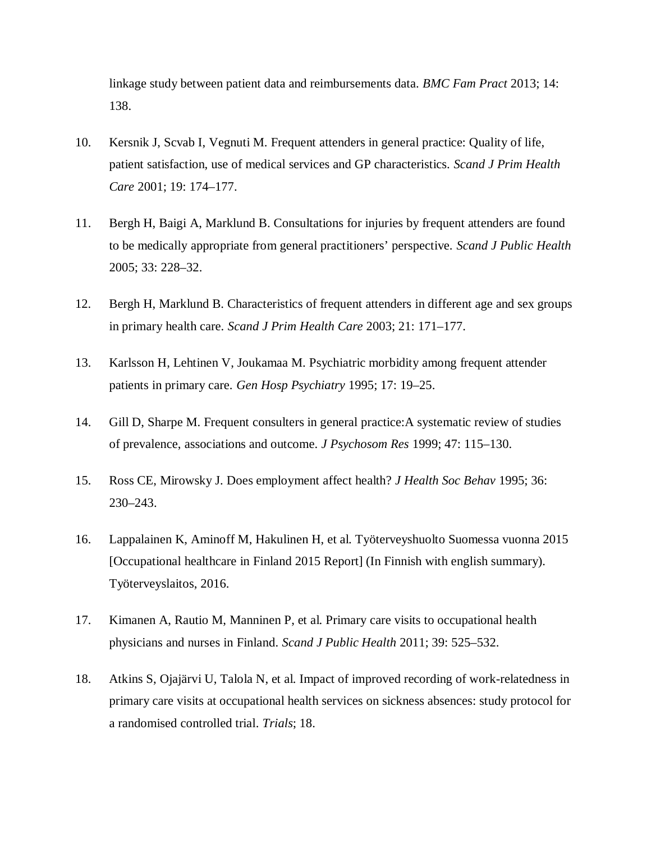linkage study between patient data and reimbursements data. *BMC Fam Pract* 2013; 14: 138.

- 10. Kersnik J, Scvab I, Vegnuti M. Frequent attenders in general practice: Quality of life, patient satisfaction, use of medical services and GP characteristics. *Scand J Prim Health Care* 2001; 19: 174–177.
- 11. Bergh H, Baigi A, Marklund B. Consultations for injuries by frequent attenders are found to be medically appropriate from general practitioners' perspective. *Scand J Public Health* 2005; 33: 228–32.
- 12. Bergh H, Marklund B. Characteristics of frequent attenders in different age and sex groups in primary health care. *Scand J Prim Health Care* 2003; 21: 171–177.
- 13. Karlsson H, Lehtinen V, Joukamaa M. Psychiatric morbidity among frequent attender patients in primary care. *Gen Hosp Psychiatry* 1995; 17: 19–25.
- 14. Gill D, Sharpe M. Frequent consulters in general practice:A systematic review of studies of prevalence, associations and outcome. *J Psychosom Res* 1999; 47: 115–130.
- 15. Ross CE, Mirowsky J. Does employment affect health? *J Health Soc Behav* 1995; 36: 230–243.
- 16. Lappalainen K, Aminoff M, Hakulinen H, et al. Työterveyshuolto Suomessa vuonna 2015 [Occupational healthcare in Finland 2015 Report] (In Finnish with english summary). Työterveyslaitos, 2016.
- 17. Kimanen A, Rautio M, Manninen P, et al. Primary care visits to occupational health physicians and nurses in Finland. *Scand J Public Health* 2011; 39: 525–532.
- 18. Atkins S, Ojajärvi U, Talola N, et al. Impact of improved recording of work-relatedness in primary care visits at occupational health services on sickness absences: study protocol for a randomised controlled trial. *Trials*; 18.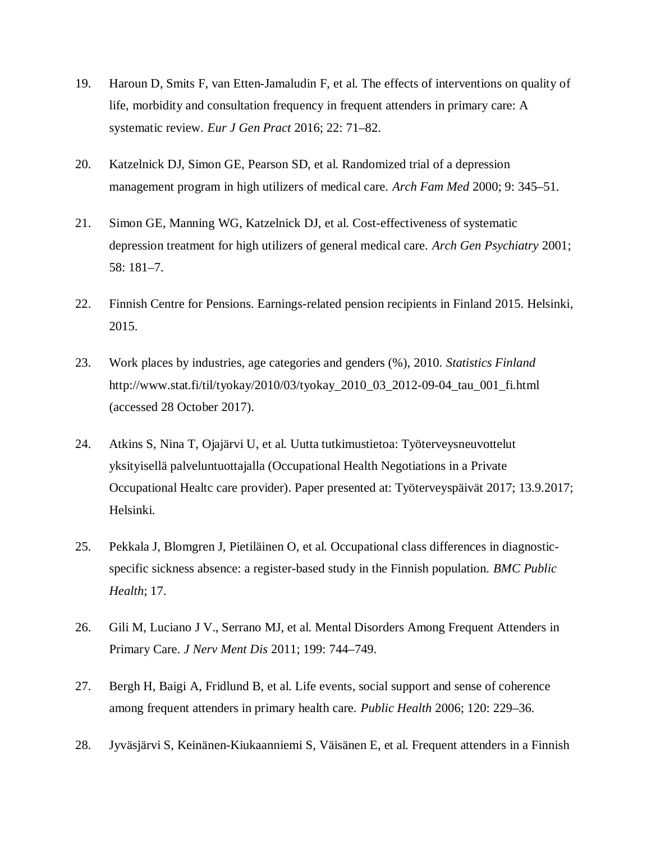- 19. Haroun D, Smits F, van Etten-Jamaludin F, et al. The effects of interventions on quality of life, morbidity and consultation frequency in frequent attenders in primary care: A systematic review. *Eur J Gen Pract* 2016; 22: 71–82.
- 20. Katzelnick DJ, Simon GE, Pearson SD, et al. Randomized trial of a depression management program in high utilizers of medical care. *Arch Fam Med* 2000; 9: 345–51.
- 21. Simon GE, Manning WG, Katzelnick DJ, et al. Cost-effectiveness of systematic depression treatment for high utilizers of general medical care. *Arch Gen Psychiatry* 2001; 58: 181–7.
- 22. Finnish Centre for Pensions. Earnings-related pension recipients in Finland 2015. Helsinki, 2015.
- 23. Work places by industries, age categories and genders (%), 2010. *Statistics Finland* http://www.stat.fi/til/tyokay/2010/03/tyokay\_2010\_03\_2012-09-04\_tau\_001\_fi.html (accessed 28 October 2017).
- 24. Atkins S, Nina T, Ojajärvi U, et al. Uutta tutkimustietoa: Työterveysneuvottelut yksityisellä palveluntuottajalla (Occupational Health Negotiations in a Private Occupational Healtc care provider). Paper presented at: Työterveyspäivät 2017; 13.9.2017; Helsinki.
- 25. Pekkala J, Blomgren J, Pietiläinen O, et al. Occupational class differences in diagnosticspecific sickness absence: a register-based study in the Finnish population. *BMC Public Health*; 17.
- 26. Gili M, Luciano J V., Serrano MJ, et al. Mental Disorders Among Frequent Attenders in Primary Care. *J Nerv Ment Dis* 2011; 199: 744–749.
- 27. Bergh H, Baigi A, Fridlund B, et al. Life events, social support and sense of coherence among frequent attenders in primary health care. *Public Health* 2006; 120: 229–36.
- 28. Jyväsjärvi S, Keinänen-Kiukaanniemi S, Väisänen E, et al. Frequent attenders in a Finnish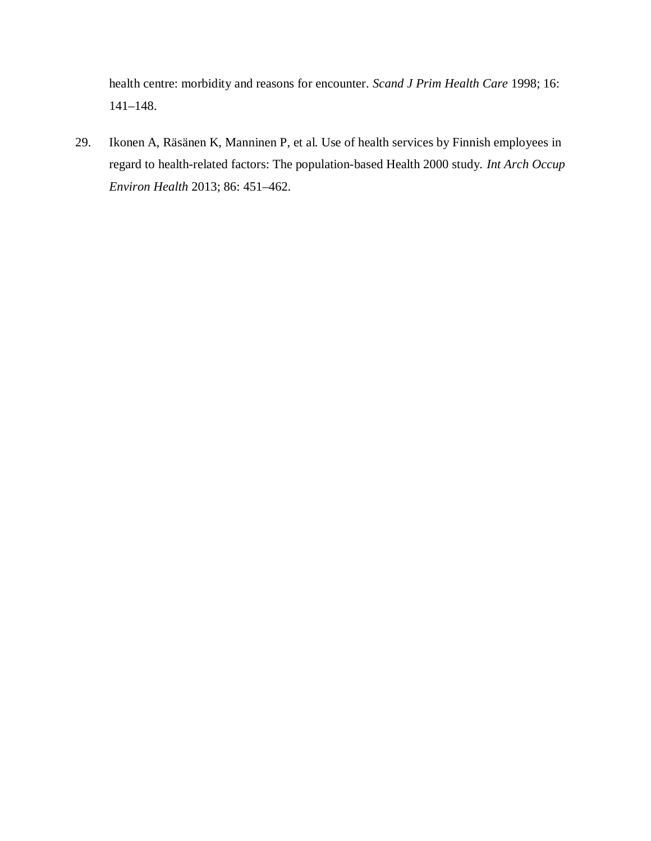health centre: morbidity and reasons for encounter. *Scand J Prim Health Care* 1998; 16: 141–148.

29. Ikonen A, Räsänen K, Manninen P, et al. Use of health services by Finnish employees in regard to health-related factors: The population-based Health 2000 study. *Int Arch Occup Environ Health* 2013; 86: 451–462.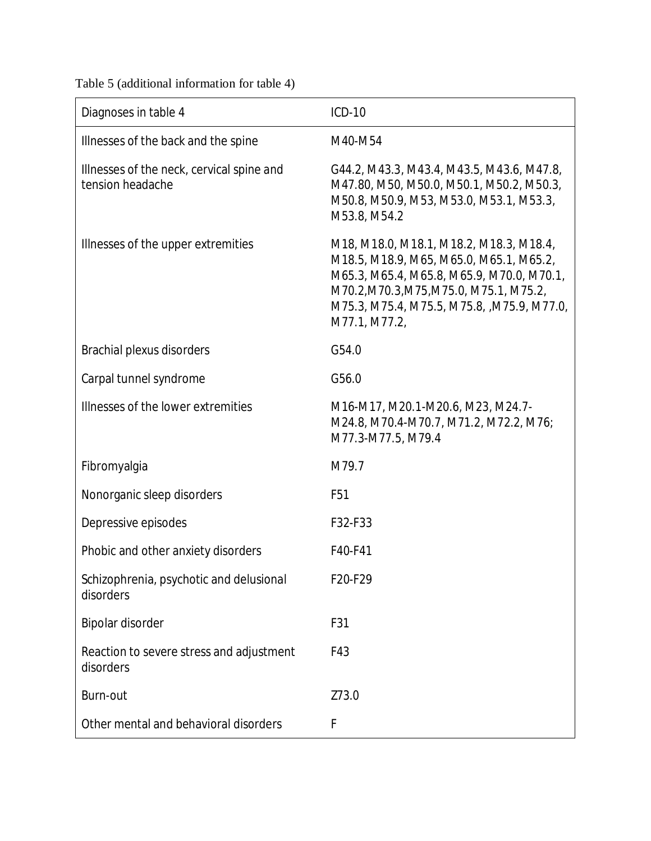Table 5 (additional information for table 4)

| Diagnoses in table 4                                          | <b>ICD-10</b>                                                                                                                                                                                                                             |
|---------------------------------------------------------------|-------------------------------------------------------------------------------------------------------------------------------------------------------------------------------------------------------------------------------------------|
| Illnesses of the back and the spine                           | M40-M54                                                                                                                                                                                                                                   |
| Illnesses of the neck, cervical spine and<br>tension headache | G44.2, M43.3, M43.4, M43.5, M43.6, M47.8,<br>M47.80, M50, M50.0, M50.1, M50.2, M50.3,<br>M50.8, M50.9, M53, M53.0, M53.1, M53.3,<br>M53.8, M54.2                                                                                          |
| Illnesses of the upper extremities                            | M18, M18.0, M18.1, M18.2, M18.3, M18.4,<br>M18.5, M18.9, M65, M65.0, M65.1, M65.2,<br>M65.3, M65.4, M65.8, M65.9, M70.0, M70.1,<br>M70.2, M70.3, M75, M75.0, M75.1, M75.2,<br>M75.3, M75.4, M75.5, M75.8, ,M75.9, M77.0,<br>M77.1, M77.2, |
| Brachial plexus disorders                                     | G54.0                                                                                                                                                                                                                                     |
| Carpal tunnel syndrome                                        | G56.0                                                                                                                                                                                                                                     |
| Illnesses of the lower extremities                            | M16-M17, M20.1-M20.6, M23, M24.7-<br>M24.8, M70.4-M70.7, M71.2, M72.2, M76;<br>M77.3-M77.5, M79.4                                                                                                                                         |
| Fibromyalgia                                                  | M79.7                                                                                                                                                                                                                                     |
| Nonorganic sleep disorders                                    | F <sub>51</sub>                                                                                                                                                                                                                           |
| Depressive episodes                                           | F32-F33                                                                                                                                                                                                                                   |
| Phobic and other anxiety disorders                            | F40-F41                                                                                                                                                                                                                                   |
| Schizophrenia, psychotic and delusional<br>disorders          | F20-F29                                                                                                                                                                                                                                   |
| Bipolar disorder                                              | F31                                                                                                                                                                                                                                       |
| Reaction to severe stress and adjustment<br>disorders         | F43                                                                                                                                                                                                                                       |
| Burn-out                                                      | Z73.0                                                                                                                                                                                                                                     |
| Other mental and behavioral disorders                         | $\mathsf{F}$                                                                                                                                                                                                                              |